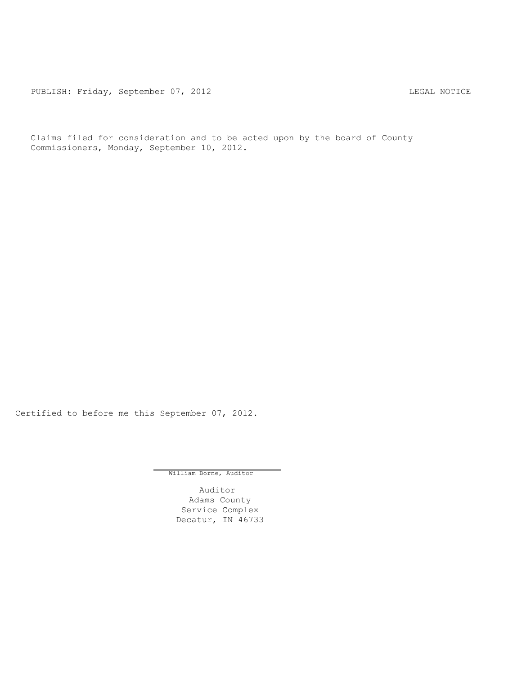PUBLISH: Friday, September 07, 2012 CHECH CHECAL NOTICE

Claims filed for consideration and to be acted upon by the board of County Commissioners, Monday, September 10, 2012.

Certified to before me this September 07, 2012.

William Borne, Auditor

Auditor Adams County Service Complex Decatur, IN 46733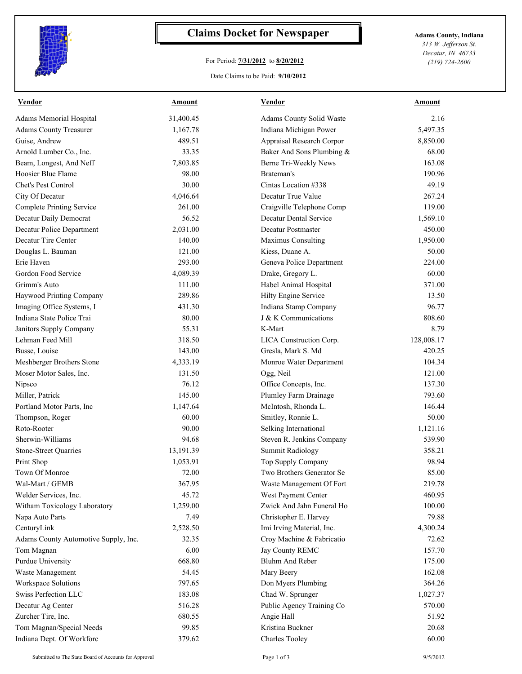

## **Claims Docket for Newspaper Adams County, Indiana**

## For Period: **7/31/2012** to **8/20/2012**

*313 W. Jefferson St. Decatur, IN 46733 (219) 724-2600*

## Date Claims to be Paid: **9/10/2012**

| <b>Vendor</b>                        | Amount    | Vendor                    | Amount     |
|--------------------------------------|-----------|---------------------------|------------|
| Adams Memorial Hospital              | 31,400.45 | Adams County Solid Waste  | 2.16       |
| <b>Adams County Treasurer</b>        | 1,167.78  | Indiana Michigan Power    | 5,497.35   |
| Guise, Andrew                        | 489.51    | Appraisal Research Corpor | 8,850.00   |
| Arnold Lumber Co., Inc.              | 33.35     | Baker And Sons Plumbing & | 68.00      |
| Beam, Longest, And Neff              | 7,803.85  | Berne Tri-Weekly News     | 163.08     |
| Hoosier Blue Flame                   | 98.00     | Brateman's                | 190.96     |
| Chet's Pest Control                  | 30.00     | Cintas Location #338      | 49.19      |
| City Of Decatur                      | 4,046.64  | Decatur True Value        | 267.24     |
| Complete Printing Service            | 261.00    | Craigville Telephone Comp | 119.00     |
| Decatur Daily Democrat               | 56.52     | Decatur Dental Service    | 1,569.10   |
| Decatur Police Department            | 2,031.00  | Decatur Postmaster        | 450.00     |
| Decatur Tire Center                  | 140.00    | Maximus Consulting        | 1,950.00   |
| Douglas L. Bauman                    | 121.00    | Kiess, Duane A.           | 50.00      |
| Erie Haven                           | 293.00    | Geneva Police Department  | 224.00     |
| Gordon Food Service                  | 4,089.39  | Drake, Gregory L.         | 60.00      |
| Grimm's Auto                         | 111.00    | Habel Animal Hospital     | 371.00     |
| Haywood Printing Company             | 289.86    | Hilty Engine Service      | 13.50      |
| Imaging Office Systems, I            | 431.30    | Indiana Stamp Company     | 96.77      |
| Indiana State Police Trai            | 80.00     | J & K Communications      | 808.60     |
| Janitors Supply Company              | 55.31     | K-Mart                    | 8.79       |
| Lehman Feed Mill                     | 318.50    | LICA Construction Corp.   | 128,008.17 |
| Busse, Louise                        | 143.00    | Gresla, Mark S. Md        | 420.25     |
| Meshberger Brothers Stone            | 4,333.19  | Monroe Water Department   | 104.34     |
| Moser Motor Sales, Inc.              | 131.50    | Ogg, Neil                 | 121.00     |
| Nipsco                               | 76.12     | Office Concepts, Inc.     | 137.30     |
| Miller, Patrick                      | 145.00    | Plumley Farm Drainage     | 793.60     |
| Portland Motor Parts, Inc            | 1,147.64  | McIntosh, Rhonda L.       | 146.44     |
| Thompson, Roger                      | 60.00     | Smitley, Ronnie L.        | 50.00      |
| Roto-Rooter                          | 90.00     | Selking International     | 1,121.16   |
| Sherwin-Williams                     | 94.68     | Steven R. Jenkins Company | 539.90     |
| Stone-Street Quarries                | 13,191.39 | <b>Summit Radiology</b>   | 358.21     |
| Print Shop                           | 1,053.91  | Top Supply Company        | 98.94      |
| Town Of Monroe                       | 72.00     | Two Brothers Generator Se | 85.00      |
| Wal-Mart / GEMB                      | 367.95    | Waste Management Of Fort  | 219.78     |
| Welder Services, Inc.                | 45.72     | West Payment Center       | 460.95     |
| Witham Toxicology Laboratory         | 1,259.00  | Zwick And Jahn Funeral Ho | 100.00     |
| Napa Auto Parts                      | 7.49      | Christopher E. Harvey     | 79.88      |
| CenturyLink                          | 2,528.50  | Imi Irving Material, Inc. | 4,300.24   |
| Adams County Automotive Supply, Inc. | 32.35     | Croy Machine & Fabricatio | 72.62      |
| Tom Magnan                           | 6.00      | Jay County REMC           | 157.70     |
| <b>Purdue University</b>             | 668.80    | Bluhm And Reber           | 175.00     |
| Waste Management                     | 54.45     | Mary Beery                | 162.08     |
| Workspace Solutions                  | 797.65    | Don Myers Plumbing        | 364.26     |
| Swiss Perfection LLC                 |           | Chad W. Sprunger          |            |
|                                      | 183.08    |                           | 1,027.37   |
| Decatur Ag Center                    | 516.28    | Public Agency Training Co | 570.00     |
| Zurcher Tire, Inc.                   | 680.55    | Angie Hall                | 51.92      |
| Tom Magnan/Special Needs             | 99.85     | Kristina Buckner          | 20.68      |
| Indiana Dept. Of Workforc            | 379.62    | <b>Charles Tooley</b>     | 60.00      |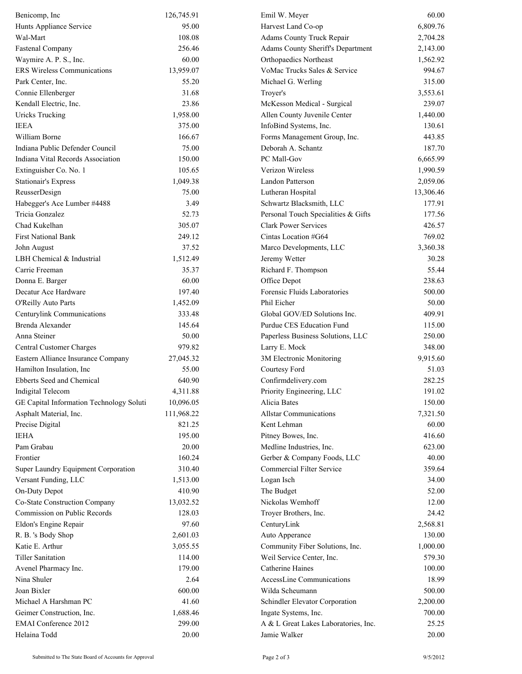| Benicomp, Inc                            | 126,745.91 | Emil W. Meyer                            | 60.00     |
|------------------------------------------|------------|------------------------------------------|-----------|
| Hunts Appliance Service                  | 95.00      | Harvest Land Co-op                       | 6,809.76  |
| Wal-Mart                                 | 108.08     | Adams County Truck Repair                | 2,704.28  |
| <b>Fastenal Company</b>                  | 256.46     | <b>Adams County Sheriff's Department</b> | 2,143.00  |
| Waymire A. P. S., Inc.                   | 60.00      | <b>Orthopaedics Northeast</b>            | 1,562.92  |
| <b>ERS</b> Wireless Communications       | 13,959.07  | VoMac Trucks Sales & Service             | 994.67    |
| Park Center, Inc.                        | 55.20      | Michael G. Werling                       | 315.00    |
| Connie Ellenberger                       | 31.68      | Troyer's                                 | 3,553.61  |
| Kendall Electric, Inc.                   | 23.86      | McKesson Medical - Surgical              | 239.07    |
| <b>Uricks Trucking</b>                   | 1,958.00   | Allen County Juvenile Center             | 1,440.00  |
| <b>IEEA</b>                              | 375.00     | InfoBind Systems, Inc.                   | 130.61    |
| William Borne                            | 166.67     | Forms Management Group, Inc.             | 443.85    |
| Indiana Public Defender Council          | 75.00      | Deborah A. Schantz                       | 187.70    |
| Indiana Vital Records Association        | 150.00     | PC Mall-Gov                              | 6,665.99  |
| Extinguisher Co. No. 1                   | 105.65     | Verizon Wireless                         | 1,990.59  |
| <b>Stationair's Express</b>              | 1,049.38   | Landon Patterson                         | 2,059.06  |
| ReusserDesign                            | 75.00      | Lutheran Hospital                        | 13,306.46 |
| Habegger's Ace Lumber #4488              | 3.49       | Schwartz Blacksmith, LLC                 | 177.91    |
| Tricia Gonzalez                          | 52.73      | Personal Touch Specialities & Gifts      | 177.56    |
| Chad Kukelhan                            | 305.07     | <b>Clark Power Services</b>              | 426.57    |
| <b>First National Bank</b>               | 249.12     | Cintas Location #G64                     | 769.02    |
| John August                              | 37.52      | Marco Developments, LLC                  | 3,360.38  |
| LBH Chemical & Industrial                | 1,512.49   | Jeremy Wetter                            | 30.28     |
| Carrie Freeman                           | 35.37      | Richard F. Thompson                      | 55.44     |
| Donna E. Barger                          | 60.00      | Office Depot                             | 238.63    |
| Decatur Ace Hardware                     | 197.40     | Forensic Fluids Laboratories             | 500.00    |
| O'Reilly Auto Parts                      | 1,452.09   | Phil Eicher                              | 50.00     |
| Centurylink Communications               | 333.48     | Global GOV/ED Solutions Inc.             | 409.91    |
| Brenda Alexander                         | 145.64     | Purdue CES Education Fund                | 115.00    |
| Anna Steiner                             | 50.00      | Paperless Business Solutions, LLC        | 250.00    |
| Central Customer Charges                 | 979.82     | Larry E. Mock                            | 348.00    |
| Eastern Alliance Insurance Company       | 27,045.32  | 3M Electronic Monitoring                 | 9,915.60  |
| Hamilton Insulation, Inc.                | 55.00      | Courtesy Ford                            | 51.03     |
| Ebberts Seed and Chemical                | 640.90     | Confirmdelivery.com                      | 282.25    |
| Indigital Telecom                        | 4,311.88   | Priority Engineering, LLC                | 191.02    |
| GE Capital Information Technology Soluti | 10,096.05  | Alicia Bates                             | 150.00    |
| Asphalt Material, Inc.                   | 111,968.22 | <b>Allstar Communications</b>            | 7,321.50  |
| Precise Digital                          | 821.25     | Kent Lehman                              | 60.00     |
| <b>IEHA</b>                              | 195.00     | Pitney Bowes, Inc.                       | 416.60    |
| Pam Grabau                               | 20.00      | Medline Industries, Inc.                 | 623.00    |
| Frontier                                 | 160.24     | Gerber & Company Foods, LLC              | 40.00     |
| Super Laundry Equipment Corporation      | 310.40     | Commercial Filter Service                | 359.64    |
| Versant Funding, LLC                     | 1,513.00   | Logan Isch                               | 34.00     |
| <b>On-Duty Depot</b>                     | 410.90     | The Budget                               | 52.00     |
| Co-State Construction Company            | 13,032.52  | Nickolas Wemhoff                         | 12.00     |
| Commission on Public Records             | 128.03     | Troyer Brothers, Inc.                    | 24.42     |
| Eldon's Engine Repair                    | 97.60      | CenturyLink                              | 2,568.81  |
| R. B. 's Body Shop                       | 2,601.03   | Auto Apperance                           | 130.00    |
| Katie E. Arthur                          | 3,055.55   | Community Fiber Solutions, Inc.          | 1,000.00  |
| <b>Tiller Sanitation</b>                 | 114.00     | Weil Service Center, Inc.                | 579.30    |
| Avenel Pharmacy Inc.                     | 179.00     | Catherine Haines                         | 100.00    |
| Nina Shuler                              | 2.64       | <b>AccessLine Communications</b>         | 18.99     |
| Joan Bixler                              | 600.00     | Wilda Scheumann                          | 500.00    |
| Michael A Harshman PC                    | 41.60      | Schindler Elevator Corporation           | 2,200.00  |
| Geimer Construction, Inc.                | 1,688.46   | Ingate Systems, Inc.                     | 700.00    |
| <b>EMAI</b> Conference 2012              | 299.00     | A & L Great Lakes Laboratories, Inc.     | 25.25     |
| Helaina Todd                             | 20.00      | Jamie Walker                             | 20.00     |